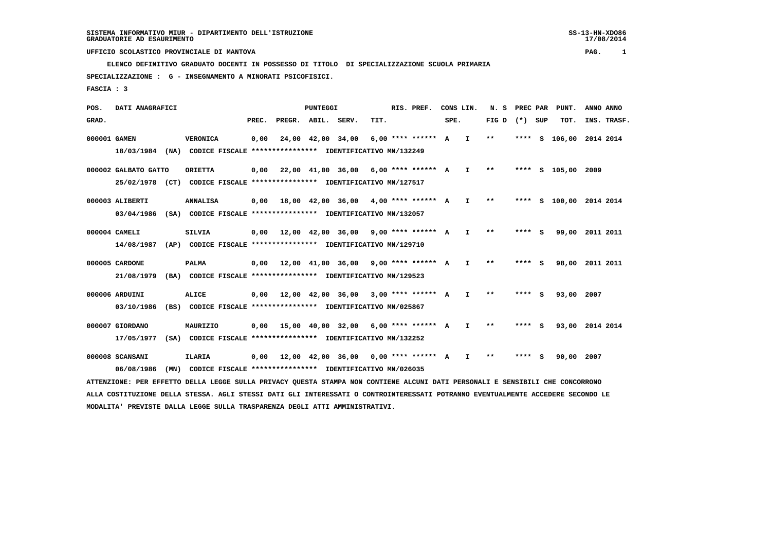**ELENCO DEFINITIVO GRADUATO DOCENTI IN POSSESSO DI TITOLO DI SPECIALIZZAZIONE SCUOLA PRIMARIA**

 **03/04/1986 (SA) CODICE FISCALE \*\*\*\*\*\*\*\*\*\*\*\*\*\*\*\* IDENTIFICATIVO MN/132057**

 **SPECIALIZZAZIONE : G - INSEGNAMENTO A MINORATI PSICOFISICI.**

 **FASCIA : 3**

 **POS. DATI ANAGRAFICI PUNTEGGI RIS. PREF. CONS LIN. N. S PREC PAR PUNT. ANNO ANNO**GRAD. **BRAD. PREC. PREGR. ABIL. SERV. TIT.** SPE. FIG D (\*) SUP TOT. INS. TRASF.  **000001 GAMEN VERONICA 0,00 24,00 42,00 34,00 6,00 \*\*\*\* \*\*\*\*\*\* A I \*\* \*\*\*\* S 106,00 2014 2014 18/03/1984 (NA) CODICE FISCALE \*\*\*\*\*\*\*\*\*\*\*\*\*\*\*\* IDENTIFICATIVO MN/132249 000002 GALBATO GATTO ORIETTA 0,00 22,00 41,00 36,00 6,00 \*\*\*\* \*\*\*\*\*\* A I \*\* \*\*\*\* S 105,00 2009 25/02/1978 (CT) CODICE FISCALE \*\*\*\*\*\*\*\*\*\*\*\*\*\*\*\* IDENTIFICATIVO MN/127517 000003 ALIBERTI ANNALISA 0,00 18,00 42,00 36,00 4,00 \*\*\*\* \*\*\*\*\*\* A I \*\* \*\*\*\* S 100,00 2014 2014**

 **000004 CAMELI SILVIA 0,00 12,00 42,00 36,00 9,00 \*\*\*\* \*\*\*\*\*\* A I \*\* \*\*\*\* S 99,00 2011 2011 14/08/1987 (AP) CODICE FISCALE \*\*\*\*\*\*\*\*\*\*\*\*\*\*\*\* IDENTIFICATIVO MN/129710**

 **000005 CARDONE PALMA 0,00 12,00 41,00 36,00 9,00 \*\*\*\* \*\*\*\*\*\* A I \*\* \*\*\*\* S 98,00 2011 2011 21/08/1979 (BA) CODICE FISCALE \*\*\*\*\*\*\*\*\*\*\*\*\*\*\*\* IDENTIFICATIVO MN/129523**

 **000006 ARDUINI ALICE 0,00 12,00 42,00 36,00 3,00 \*\*\*\* \*\*\*\*\*\* A I \*\* \*\*\*\* S 93,00 2007 03/10/1986 (BS) CODICE FISCALE \*\*\*\*\*\*\*\*\*\*\*\*\*\*\*\* IDENTIFICATIVO MN/025867**

 **000007 GIORDANO MAURIZIO 0,00 15,00 40,00 32,00 6,00 \*\*\*\* \*\*\*\*\*\* A I \*\* \*\*\*\* S 93,00 2014 2014 17/05/1977 (SA) CODICE FISCALE \*\*\*\*\*\*\*\*\*\*\*\*\*\*\*\* IDENTIFICATIVO MN/132252**

 **000008 SCANSANI ILARIA 0,00 12,00 42,00 36,00 0,00 \*\*\*\* \*\*\*\*\*\* A I \*\* \*\*\*\* S 90,00 2007 06/08/1986 (MN) CODICE FISCALE \*\*\*\*\*\*\*\*\*\*\*\*\*\*\*\* IDENTIFICATIVO MN/026035**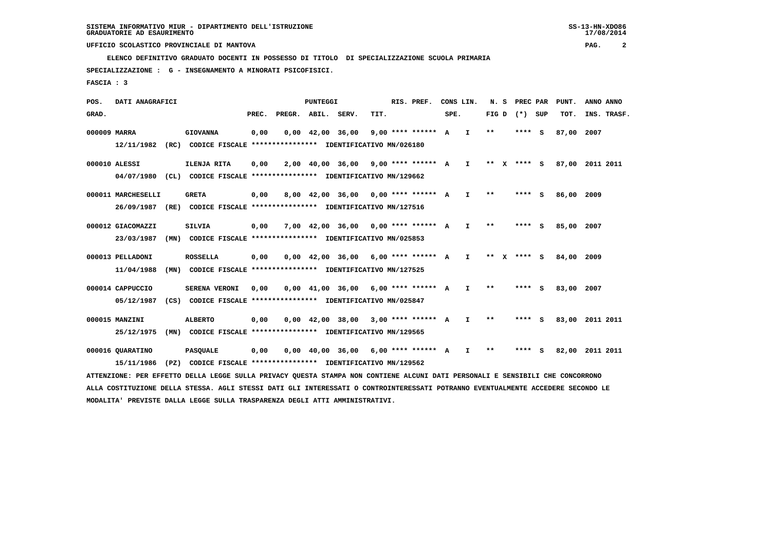**ELENCO DEFINITIVO GRADUATO DOCENTI IN POSSESSO DI TITOLO DI SPECIALIZZAZIONE SCUOLA PRIMARIA**

 **SPECIALIZZAZIONE : G - INSEGNAMENTO A MINORATI PSICOFISICI.**

 **FASCIA : 3**

 **POS. DATI ANAGRAFICI PUNTEGGI RIS. PREF. CONS LIN. N. S PREC PAR PUNT. ANNO ANNO**GRAD. **PREGRADE SERVEGE SERVE SERVE SPEREGE SPEREGALES SPEREGALES SPEREGALES SPEREGALES SPEREGALES SUP TOT. INS. TRASF. 000009 MARRA GIOVANNA 0,00 0,00 42,00 36,00 9,00 \*\*\*\* \*\*\*\*\*\* A I \*\* \*\*\*\* S 87,00 2007 12/11/1982 (RC) CODICE FISCALE \*\*\*\*\*\*\*\*\*\*\*\*\*\*\*\* IDENTIFICATIVO MN/026180 000010 ALESSI ILENJA RITA 0,00 2,00 40,00 36,00 9,00 \*\*\*\* \*\*\*\*\*\* A I \*\* X \*\*\*\* S 87,00 2011 2011 04/07/1980 (CL) CODICE FISCALE \*\*\*\*\*\*\*\*\*\*\*\*\*\*\*\* IDENTIFICATIVO MN/129662 000011 MARCHESELLI GRETA 0,00 8,00 42,00 36,00 0,00 \*\*\*\* \*\*\*\*\*\* A I \*\* \*\*\*\* S 86,00 2009 26/09/1987 (RE) CODICE FISCALE \*\*\*\*\*\*\*\*\*\*\*\*\*\*\*\* IDENTIFICATIVO MN/127516 000012 GIACOMAZZI SILVIA 0,00 7,00 42,00 36,00 0,00 \*\*\*\* \*\*\*\*\*\* A I \*\* \*\*\*\* S 85,00 2007 23/03/1987 (MN) CODICE FISCALE \*\*\*\*\*\*\*\*\*\*\*\*\*\*\*\* IDENTIFICATIVO MN/025853 000013 PELLADONI ROSSELLA 0,00 0,00 42,00 36,00 6,00 \*\*\*\* \*\*\*\*\*\* A I \*\* X \*\*\*\* S 84,00 2009 11/04/1988 (MN) CODICE FISCALE \*\*\*\*\*\*\*\*\*\*\*\*\*\*\*\* IDENTIFICATIVO MN/127525 000014 CAPPUCCIO SERENA VERONI 0,00 0,00 41,00 36,00 6,00 \*\*\*\* \*\*\*\*\*\* A I \*\* \*\*\*\* S 83,00 2007 05/12/1987 (CS) CODICE FISCALE \*\*\*\*\*\*\*\*\*\*\*\*\*\*\*\* IDENTIFICATIVO MN/025847 000015 MANZINI ALBERTO 0,00 0,00 42,00 38,00 3,00 \*\*\*\* \*\*\*\*\*\* A I \*\* \*\*\*\* S 83,00 2011 2011 25/12/1975 (MN) CODICE FISCALE \*\*\*\*\*\*\*\*\*\*\*\*\*\*\*\* IDENTIFICATIVO MN/129565 000016 QUARATINO PASQUALE 0,00 0,00 40,00 36,00 6,00 \*\*\*\* \*\*\*\*\*\* A I \*\* \*\*\*\* S 82,00 2011 2011 15/11/1986 (PZ) CODICE FISCALE \*\*\*\*\*\*\*\*\*\*\*\*\*\*\*\* IDENTIFICATIVO MN/129562**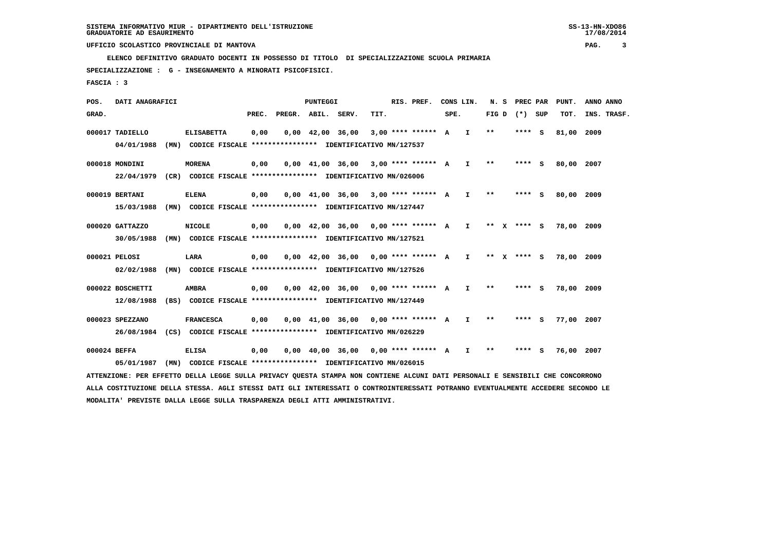**ELENCO DEFINITIVO GRADUATO DOCENTI IN POSSESSO DI TITOLO DI SPECIALIZZAZIONE SCUOLA PRIMARIA**

 **SPECIALIZZAZIONE : G - INSEGNAMENTO A MINORATI PSICOFISICI.**

 **FASCIA : 3**

 **POS. DATI ANAGRAFICI PUNTEGGI RIS. PREF. CONS LIN. N. S PREC PAR PUNT. ANNO ANNO**GRAD. **PREGRADE SERVEGE SERVE SERVE SPEREGE SPEREGALES SPEREGALES SPEREGALES SPEREGALES SPEREGALES SUP TOT. INS. TRASF. 000017 TADIELLO ELISABETTA 0,00 0,00 42,00 36,00 3,00 \*\*\*\* \*\*\*\*\*\* A I \*\* \*\*\*\* S 81,00 2009 04/01/1988 (MN) CODICE FISCALE \*\*\*\*\*\*\*\*\*\*\*\*\*\*\*\* IDENTIFICATIVO MN/127537 000018 MONDINI MORENA 0,00 0,00 41,00 36,00 3,00 \*\*\*\* \*\*\*\*\*\* A I \*\* \*\*\*\* S 80,00 2007 22/04/1979 (CR) CODICE FISCALE \*\*\*\*\*\*\*\*\*\*\*\*\*\*\*\* IDENTIFICATIVO MN/026006 000019 BERTANI ELENA 0,00 0,00 41,00 36,00 3,00 \*\*\*\* \*\*\*\*\*\* A I \*\* \*\*\*\* S 80,00 2009 15/03/1988 (MN) CODICE FISCALE \*\*\*\*\*\*\*\*\*\*\*\*\*\*\*\* IDENTIFICATIVO MN/127447 000020 GATTAZZO NICOLE 0,00 0,00 42,00 36,00 0,00 \*\*\*\* \*\*\*\*\*\* A I \*\* X \*\*\*\* S 78,00 2009 30/05/1988 (MN) CODICE FISCALE \*\*\*\*\*\*\*\*\*\*\*\*\*\*\*\* IDENTIFICATIVO MN/127521 000021 PELOSI LARA 0,00 0,00 42,00 36,00 0,00 \*\*\*\* \*\*\*\*\*\* A I \*\* X \*\*\*\* S 78,00 2009 02/02/1988 (MN) CODICE FISCALE \*\*\*\*\*\*\*\*\*\*\*\*\*\*\*\* IDENTIFICATIVO MN/127526 000022 BOSCHETTI AMBRA 0,00 0,00 42,00 36,00 0,00 \*\*\*\* \*\*\*\*\*\* A I \*\* \*\*\*\* S 78,00 2009 12/08/1988 (BS) CODICE FISCALE \*\*\*\*\*\*\*\*\*\*\*\*\*\*\*\* IDENTIFICATIVO MN/127449 000023 SPEZZANO FRANCESCA 0,00 0,00 41,00 36,00 0,00 \*\*\*\* \*\*\*\*\*\* A I \*\* \*\*\*\* S 77,00 2007 26/08/1984 (CS) CODICE FISCALE \*\*\*\*\*\*\*\*\*\*\*\*\*\*\*\* IDENTIFICATIVO MN/026229 000024 BEFFA ELISA 0,00 0,00 40,00 36,00 0,00 \*\*\*\* \*\*\*\*\*\* A I \*\* \*\*\*\* S 76,00 2007 05/01/1987 (MN) CODICE FISCALE \*\*\*\*\*\*\*\*\*\*\*\*\*\*\*\* IDENTIFICATIVO MN/026015**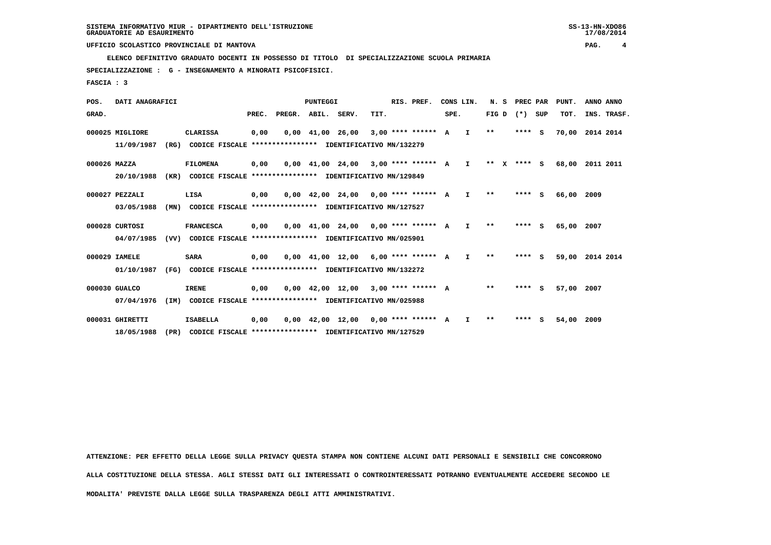**ELENCO DEFINITIVO GRADUATO DOCENTI IN POSSESSO DI TITOLO DI SPECIALIZZAZIONE SCUOLA PRIMARIA**

 **18/05/1988 (PR) CODICE FISCALE \*\*\*\*\*\*\*\*\*\*\*\*\*\*\*\* IDENTIFICATIVO MN/127529**

 **SPECIALIZZAZIONE : G - INSEGNAMENTO A MINORATI PSICOFISICI.**

 **FASCIA : 3**

| POS.         | DATI ANAGRAFICI |      |                                                          |       |                    | <b>PUNTEGGI</b>                |                                                                |      | RIS. PREF.           |      | CONS LIN.    | N.S          | PREC PAR |     | PUNT.      | ANNO ANNO   |  |
|--------------|-----------------|------|----------------------------------------------------------|-------|--------------------|--------------------------------|----------------------------------------------------------------|------|----------------------|------|--------------|--------------|----------|-----|------------|-------------|--|
| GRAD.        |                 |      |                                                          | PREC. | PREGR. ABIL. SERV. |                                |                                                                | TIT. |                      | SPE. |              | FIG D        | $(*)$    | SUP | TOT.       | INS. TRASF. |  |
|              | 000025 MIGLIORE |      | <b>CLARISSA</b>                                          | 0,00  |                    | $0,00 \quad 41,00 \quad 26,00$ |                                                                |      | $3,00$ **** ****** A |      | $\mathbf{I}$ | $\star\star$ | $***$ S  |     | 70,00      | 2014 2014   |  |
|              | 11/09/1987      | (RG) | CODICE FISCALE **************** IDENTIFICATIVO MN/132279 |       |                    |                                |                                                                |      |                      |      |              |              |          |     |            |             |  |
| 000026 MAZZA |                 |      | <b>FILOMENA</b>                                          | 0,00  |                    |                                | $0,00$ 41,00 24,00 3,00 **** ****** A                          |      |                      |      | $\mathbf{I}$ | ** $X$       | **** S   |     | 68,00      | 2011 2011   |  |
|              | 20/10/1988      | (KR) | CODICE FISCALE **************** IDENTIFICATIVO MN/129849 |       |                    |                                |                                                                |      |                      |      |              |              |          |     |            |             |  |
|              | 000027 PEZZALI  |      | LISA                                                     | 0,00  |                    |                                | $0.00 \quad 42.00 \quad 24.00 \quad 0.00 \quad *** \quad ***}$ |      |                      |      | $\mathbf{I}$ | $**$         | ****     | - 5 | 66,00      | 2009        |  |
|              | 03/05/1988      | (MN) | CODICE FISCALE **************** IDENTIFICATIVO MN/127527 |       |                    |                                |                                                                |      |                      |      |              |              |          |     |            |             |  |
|              | 000028 CURTOSI  |      | <b>FRANCESCA</b>                                         | 0,00  |                    |                                | $0,00$ 41,00 24,00 0,00 **** ****** A                          |      |                      |      | I.           | **           | ****     | - 5 | 65,00      | 2007        |  |
|              | 04/07/1985      | (VV) | CODICE FISCALE **************** IDENTIFICATIVO MN/025901 |       |                    |                                |                                                                |      |                      |      |              |              |          |     |            |             |  |
|              | 000029 IAMELE   |      | <b>SARA</b>                                              | 0,00  |                    | $0.00 \quad 41.00 \quad 12.00$ |                                                                |      | $6.00$ **** ****** A |      | $\mathbf{I}$ | $* *$        | ****     | S.  | 59,00      | 2014 2014   |  |
|              | 01/10/1987      | (FG) | CODICE FISCALE **************** IDENTIFICATIVO MN/132272 |       |                    |                                |                                                                |      |                      |      |              |              |          |     |            |             |  |
|              | 000030 GUALCO   |      | <b>IRENE</b>                                             | 0,00  |                    | $0,00 \quad 42,00 \quad 12,00$ |                                                                |      | $3.00$ **** ****** A |      |              | $**$         | ****     | - S | 57,00      | 2007        |  |
|              | 07/04/1976      | (IM) | CODICE FISCALE **************** IDENTIFICATIVO MN/025988 |       |                    |                                |                                                                |      |                      |      |              |              |          |     |            |             |  |
|              | 000031 GHIRETTI |      | <b>ISABELLA</b>                                          | 0,00  |                    | $0,00$ 42,00 12,00             |                                                                |      | $0.00$ **** ****** A |      | I.           | $* *$        | ****     | S.  | 54,00 2009 |             |  |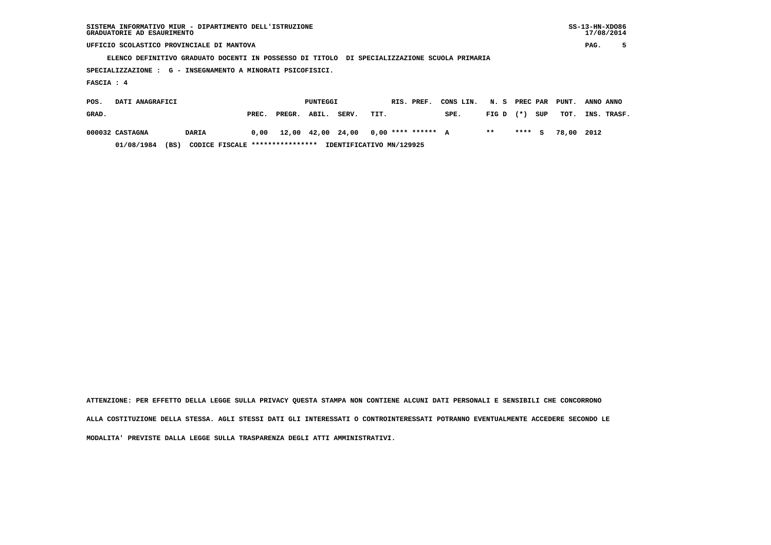| SISTEMA INFORMATIVO MIUR - DIPARTIMENTO DELL'ISTRUZIONE | $SS-13-HN-XDO86$ |
|---------------------------------------------------------|------------------|
| GRADUATORIE AD ESAURIMENTO                              | 17/08/2014       |

 **SISTEMA INFORMATIVO MIUR - DIPARTIMENTO DELL'ISTRUZIONE SS-13-HN-XDO86** $17/08/2014$ 

 **UFFICIO SCOLASTICO PROVINCIALE DI MANTOVA PAG. 5**

 **ELENCO DEFINITIVO GRADUATO DOCENTI IN POSSESSO DI TITOLO DI SPECIALIZZAZIONE SCUOLA PRIMARIA**

 **SPECIALIZZAZIONE : G - INSEGNAMENTO A MINORATI PSICOFISICI.**

 **FASCIA : 4**

| POS.  | DATI ANAGRAFICI |                                         |       |              | PUNTEGGI |       | RIS. PREF.                                  | CONS LIN. N. S PREC PAR PUNT. |              |  |                   | ANNO ANNO        |
|-------|-----------------|-----------------------------------------|-------|--------------|----------|-------|---------------------------------------------|-------------------------------|--------------|--|-------------------|------------------|
| GRAD. |                 |                                         | PREC. | PREGR. ABIL. |          | SERV. | TIT.                                        | SPE.                          | FIGD (*) SUP |  |                   | TOT. INS. TRASF. |
|       | 000032 CASTAGNA | DARIA                                   |       |              |          |       | $0,00$ 12,00 42,00 24,00 0,00 **** ****** A |                               | $* *$        |  | **** S 78,00 2012 |                  |
|       | 01/08/1984      | CODICE FISCALE ****************<br>(BS) |       |              |          |       | IDENTIFICATIVO MN/129925                    |                               |              |  |                   |                  |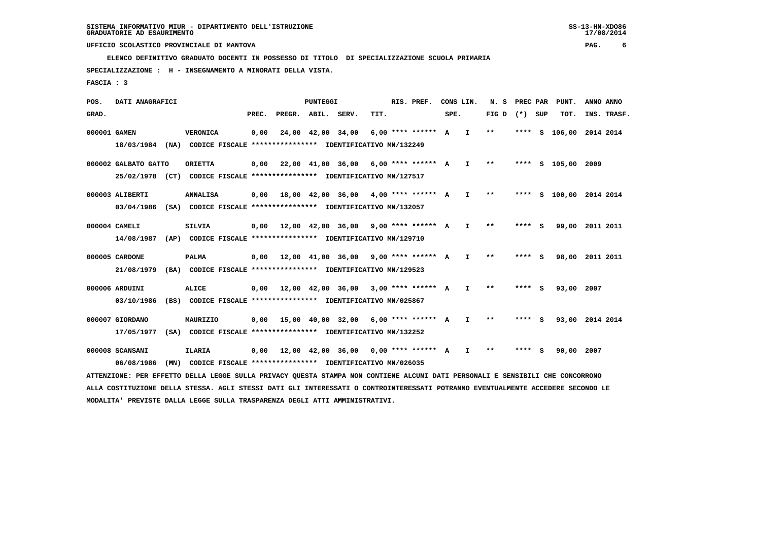**ELENCO DEFINITIVO GRADUATO DOCENTI IN POSSESSO DI TITOLO DI SPECIALIZZAZIONE SCUOLA PRIMARIA**

 **SPECIALIZZAZIONE : H - INSEGNAMENTO A MINORATI DELLA VISTA.**

 **FASCIA : 3**

 **POS. DATI ANAGRAFICI PUNTEGGI RIS. PREF. CONS LIN. N. S PREC PAR PUNT. ANNO ANNO**GRAD. **PREGRADE SERVEGE SERVE SERVE SPEREGE SPEREGALES SPEREGALES SPEREGALES SPEREGALES SPEREGALES SUP TOT. INS. TRASF. 000001 GAMEN VERONICA 0,00 24,00 42,00 34,00 6,00 \*\*\*\* \*\*\*\*\*\* A I \*\* \*\*\*\* S 106,00 2014 2014 18/03/1984 (NA) CODICE FISCALE \*\*\*\*\*\*\*\*\*\*\*\*\*\*\*\* IDENTIFICATIVO MN/132249 000002 GALBATO GATTO ORIETTA 0,00 22,00 41,00 36,00 6,00 \*\*\*\* \*\*\*\*\*\* A I \*\* \*\*\*\* S 105,00 2009 25/02/1978 (CT) CODICE FISCALE \*\*\*\*\*\*\*\*\*\*\*\*\*\*\*\* IDENTIFICATIVO MN/127517 000003 ALIBERTI ANNALISA 0,00 18,00 42,00 36,00 4,00 \*\*\*\* \*\*\*\*\*\* A I \*\* \*\*\*\* S 100,00 2014 2014 03/04/1986 (SA) CODICE FISCALE \*\*\*\*\*\*\*\*\*\*\*\*\*\*\*\* IDENTIFICATIVO MN/132057 000004 CAMELI SILVIA 0,00 12,00 42,00 36,00 9,00 \*\*\*\* \*\*\*\*\*\* A I \*\* \*\*\*\* S 99,00 2011 2011 14/08/1987 (AP) CODICE FISCALE \*\*\*\*\*\*\*\*\*\*\*\*\*\*\*\* IDENTIFICATIVO MN/129710 000005 CARDONE PALMA 0,00 12,00 41,00 36,00 9,00 \*\*\*\* \*\*\*\*\*\* A I \*\* \*\*\*\* S 98,00 2011 2011 21/08/1979 (BA) CODICE FISCALE \*\*\*\*\*\*\*\*\*\*\*\*\*\*\*\* IDENTIFICATIVO MN/129523 000006 ARDUINI ALICE 0,00 12,00 42,00 36,00 3,00 \*\*\*\* \*\*\*\*\*\* A I \*\* \*\*\*\* S 93,00 2007 03/10/1986 (BS) CODICE FISCALE \*\*\*\*\*\*\*\*\*\*\*\*\*\*\*\* IDENTIFICATIVO MN/025867 000007 GIORDANO MAURIZIO 0,00 15,00 40,00 32,00 6,00 \*\*\*\* \*\*\*\*\*\* A I \*\* \*\*\*\* S 93,00 2014 2014 17/05/1977 (SA) CODICE FISCALE \*\*\*\*\*\*\*\*\*\*\*\*\*\*\*\* IDENTIFICATIVO MN/132252 000008 SCANSANI ILARIA 0,00 12,00 42,00 36,00 0,00 \*\*\*\* \*\*\*\*\*\* A I \*\* \*\*\*\* S 90,00 2007 06/08/1986 (MN) CODICE FISCALE \*\*\*\*\*\*\*\*\*\*\*\*\*\*\*\* IDENTIFICATIVO MN/026035**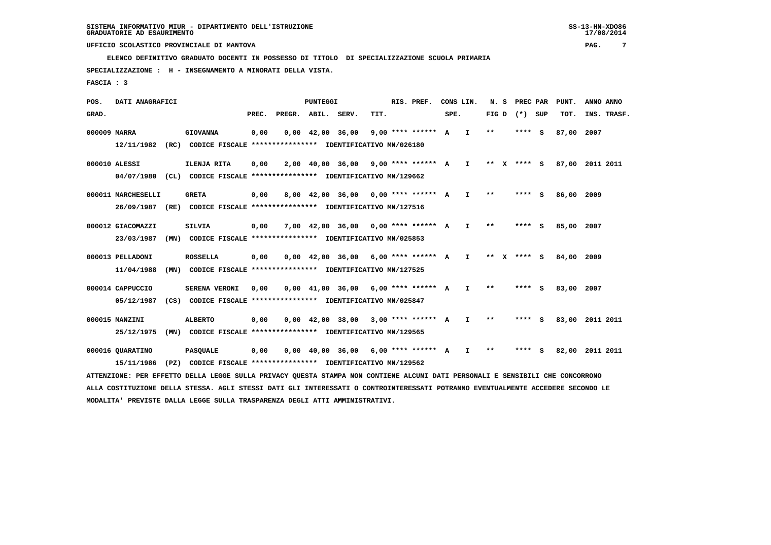**ELENCO DEFINITIVO GRADUATO DOCENTI IN POSSESSO DI TITOLO DI SPECIALIZZAZIONE SCUOLA PRIMARIA**

 **SPECIALIZZAZIONE : H - INSEGNAMENTO A MINORATI DELLA VISTA.**

 **FASCIA : 3**

 **POS. DATI ANAGRAFICI PUNTEGGI RIS. PREF. CONS LIN. N. S PREC PAR PUNT. ANNO ANNO**GRAD. **PREGRADE SERVEGE SERVE SERVE SPEREGE SPEREGALES SPEREGALES SPEREGALES SPEREGALES SPEREGALES SUP TOT. INS. TRASF. 000009 MARRA GIOVANNA 0,00 0,00 42,00 36,00 9,00 \*\*\*\* \*\*\*\*\*\* A I \*\* \*\*\*\* S 87,00 2007 12/11/1982 (RC) CODICE FISCALE \*\*\*\*\*\*\*\*\*\*\*\*\*\*\*\* IDENTIFICATIVO MN/026180 000010 ALESSI ILENJA RITA 0,00 2,00 40,00 36,00 9,00 \*\*\*\* \*\*\*\*\*\* A I \*\* X \*\*\*\* S 87,00 2011 2011 04/07/1980 (CL) CODICE FISCALE \*\*\*\*\*\*\*\*\*\*\*\*\*\*\*\* IDENTIFICATIVO MN/129662 000011 MARCHESELLI GRETA 0,00 8,00 42,00 36,00 0,00 \*\*\*\* \*\*\*\*\*\* A I \*\* \*\*\*\* S 86,00 2009 26/09/1987 (RE) CODICE FISCALE \*\*\*\*\*\*\*\*\*\*\*\*\*\*\*\* IDENTIFICATIVO MN/127516 000012 GIACOMAZZI SILVIA 0,00 7,00 42,00 36,00 0,00 \*\*\*\* \*\*\*\*\*\* A I \*\* \*\*\*\* S 85,00 2007 23/03/1987 (MN) CODICE FISCALE \*\*\*\*\*\*\*\*\*\*\*\*\*\*\*\* IDENTIFICATIVO MN/025853 000013 PELLADONI ROSSELLA 0,00 0,00 42,00 36,00 6,00 \*\*\*\* \*\*\*\*\*\* A I \*\* X \*\*\*\* S 84,00 2009 11/04/1988 (MN) CODICE FISCALE \*\*\*\*\*\*\*\*\*\*\*\*\*\*\*\* IDENTIFICATIVO MN/127525 000014 CAPPUCCIO SERENA VERONI 0,00 0,00 41,00 36,00 6,00 \*\*\*\* \*\*\*\*\*\* A I \*\* \*\*\*\* S 83,00 2007 05/12/1987 (CS) CODICE FISCALE \*\*\*\*\*\*\*\*\*\*\*\*\*\*\*\* IDENTIFICATIVO MN/025847 000015 MANZINI ALBERTO 0,00 0,00 42,00 38,00 3,00 \*\*\*\* \*\*\*\*\*\* A I \*\* \*\*\*\* S 83,00 2011 2011 25/12/1975 (MN) CODICE FISCALE \*\*\*\*\*\*\*\*\*\*\*\*\*\*\*\* IDENTIFICATIVO MN/129565 000016 QUARATINO PASQUALE 0,00 0,00 40,00 36,00 6,00 \*\*\*\* \*\*\*\*\*\* A I \*\* \*\*\*\* S 82,00 2011 2011 15/11/1986 (PZ) CODICE FISCALE \*\*\*\*\*\*\*\*\*\*\*\*\*\*\*\* IDENTIFICATIVO MN/129562**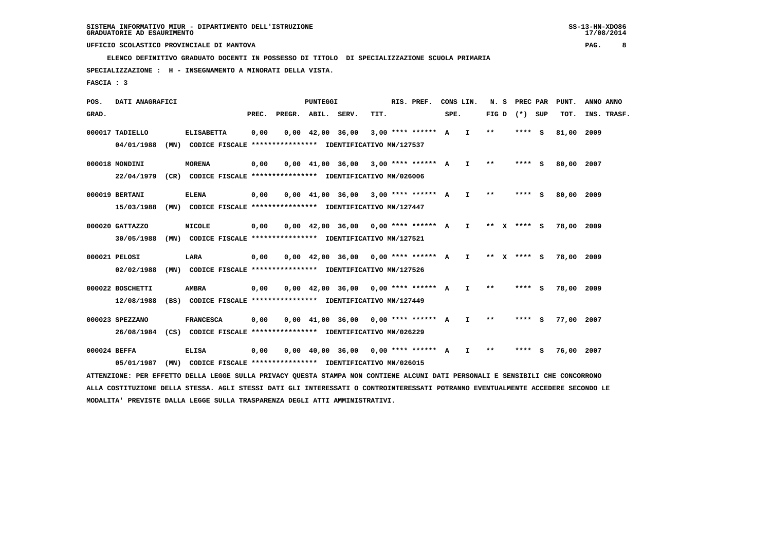**ELENCO DEFINITIVO GRADUATO DOCENTI IN POSSESSO DI TITOLO DI SPECIALIZZAZIONE SCUOLA PRIMARIA**

 **SPECIALIZZAZIONE : H - INSEGNAMENTO A MINORATI DELLA VISTA.**

 **FASCIA : 3**

 **POS. DATI ANAGRAFICI PUNTEGGI RIS. PREF. CONS LIN. N. S PREC PAR PUNT. ANNO ANNO**GRAD. **PREGRADE SERVEGE SERVE SERVE SPEREGE SPEREGALES SPEREGALES SPEREGALES SPEREGALES SPEREGALES SUP TOT. INS. TRASF. 000017 TADIELLO ELISABETTA 0,00 0,00 42,00 36,00 3,00 \*\*\*\* \*\*\*\*\*\* A I \*\* \*\*\*\* S 81,00 2009 04/01/1988 (MN) CODICE FISCALE \*\*\*\*\*\*\*\*\*\*\*\*\*\*\*\* IDENTIFICATIVO MN/127537 000018 MONDINI MORENA 0,00 0,00 41,00 36,00 3,00 \*\*\*\* \*\*\*\*\*\* A I \*\* \*\*\*\* S 80,00 2007 22/04/1979 (CR) CODICE FISCALE \*\*\*\*\*\*\*\*\*\*\*\*\*\*\*\* IDENTIFICATIVO MN/026006 000019 BERTANI ELENA 0,00 0,00 41,00 36,00 3,00 \*\*\*\* \*\*\*\*\*\* A I \*\* \*\*\*\* S 80,00 2009 15/03/1988 (MN) CODICE FISCALE \*\*\*\*\*\*\*\*\*\*\*\*\*\*\*\* IDENTIFICATIVO MN/127447 000020 GATTAZZO NICOLE 0,00 0,00 42,00 36,00 0,00 \*\*\*\* \*\*\*\*\*\* A I \*\* X \*\*\*\* S 78,00 2009 30/05/1988 (MN) CODICE FISCALE \*\*\*\*\*\*\*\*\*\*\*\*\*\*\*\* IDENTIFICATIVO MN/127521 000021 PELOSI LARA 0,00 0,00 42,00 36,00 0,00 \*\*\*\* \*\*\*\*\*\* A I \*\* X \*\*\*\* S 78,00 2009 02/02/1988 (MN) CODICE FISCALE \*\*\*\*\*\*\*\*\*\*\*\*\*\*\*\* IDENTIFICATIVO MN/127526 000022 BOSCHETTI AMBRA 0,00 0,00 42,00 36,00 0,00 \*\*\*\* \*\*\*\*\*\* A I \*\* \*\*\*\* S 78,00 2009 12/08/1988 (BS) CODICE FISCALE \*\*\*\*\*\*\*\*\*\*\*\*\*\*\*\* IDENTIFICATIVO MN/127449 000023 SPEZZANO FRANCESCA 0,00 0,00 41,00 36,00 0,00 \*\*\*\* \*\*\*\*\*\* A I \*\* \*\*\*\* S 77,00 2007 26/08/1984 (CS) CODICE FISCALE \*\*\*\*\*\*\*\*\*\*\*\*\*\*\*\* IDENTIFICATIVO MN/026229 000024 BEFFA ELISA 0,00 0,00 40,00 36,00 0,00 \*\*\*\* \*\*\*\*\*\* A I \*\* \*\*\*\* S 76,00 2007 05/01/1987 (MN) CODICE FISCALE \*\*\*\*\*\*\*\*\*\*\*\*\*\*\*\* IDENTIFICATIVO MN/026015**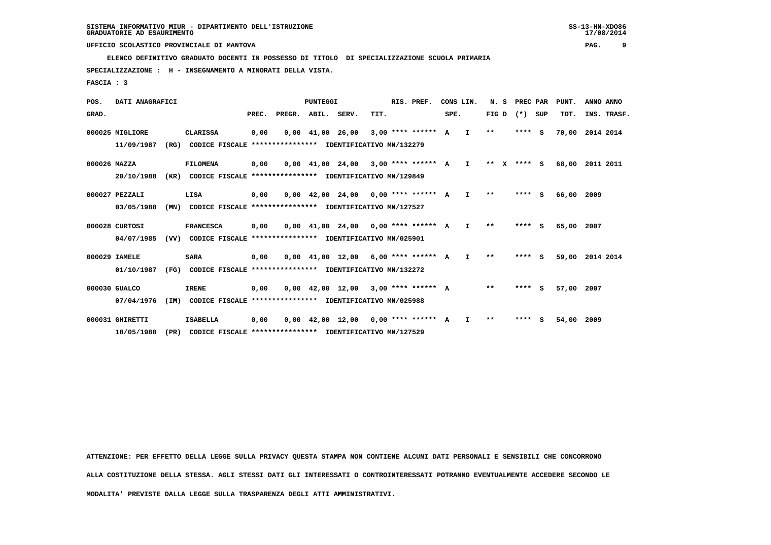**ELENCO DEFINITIVO GRADUATO DOCENTI IN POSSESSO DI TITOLO DI SPECIALIZZAZIONE SCUOLA PRIMARIA**

 **18/05/1988 (PR) CODICE FISCALE \*\*\*\*\*\*\*\*\*\*\*\*\*\*\*\* IDENTIFICATIVO MN/127529**

 **SPECIALIZZAZIONE : H - INSEGNAMENTO A MINORATI DELLA VISTA.**

 **FASCIA : 3**

 **POS. DATI ANAGRAFICI PUNTEGGI RIS. PREF. CONS LIN. N. S PREC PAR PUNT. ANNO ANNO**GRAD. **PREGRADE SERVEGR. ABIL. SERV. TIT.** SPE. FIG D (\*) SUP TOT. INS. TRASF.  **000025 MIGLIORE CLARISSA 0,00 0,00 41,00 26,00 3,00 \*\*\*\* \*\*\*\*\*\* A I \*\* \*\*\*\* S 70,00 2014 2014 11/09/1987 (RG) CODICE FISCALE \*\*\*\*\*\*\*\*\*\*\*\*\*\*\*\* IDENTIFICATIVO MN/132279 000026 MAZZA FILOMENA 0,00 0,00 41,00 24,00 3,00 \*\*\*\* \*\*\*\*\*\* A I \*\* X \*\*\*\* S 68,00 2011 2011 20/10/1988 (KR) CODICE FISCALE \*\*\*\*\*\*\*\*\*\*\*\*\*\*\*\* IDENTIFICATIVO MN/129849 000027 PEZZALI LISA 0,00 0,00 42,00 24,00 0,00 \*\*\*\* \*\*\*\*\*\* A I \*\* \*\*\*\* S 66,00 2009 03/05/1988 (MN) CODICE FISCALE \*\*\*\*\*\*\*\*\*\*\*\*\*\*\*\* IDENTIFICATIVO MN/127527 000028 CURTOSI FRANCESCA 0,00 0,00 41,00 24,00 0,00 \*\*\*\* \*\*\*\*\*\* A I \*\* \*\*\*\* S 65,00 2007 04/07/1985 (VV) CODICE FISCALE \*\*\*\*\*\*\*\*\*\*\*\*\*\*\*\* IDENTIFICATIVO MN/025901 000029 IAMELE SARA 0,00 0,00 41,00 12,00 6,00 \*\*\*\* \*\*\*\*\*\* A I \*\* \*\*\*\* S 59,00 2014 2014 01/10/1987 (FG) CODICE FISCALE \*\*\*\*\*\*\*\*\*\*\*\*\*\*\*\* IDENTIFICATIVO MN/132272 000030 GUALCO IRENE 0,00 0,00 42,00 12,00 3,00 \*\*\*\* \*\*\*\*\*\* A \*\* \*\*\*\* S 57,00 2007 07/04/1976 (IM) CODICE FISCALE \*\*\*\*\*\*\*\*\*\*\*\*\*\*\*\* IDENTIFICATIVO MN/025988 000031 GHIRETTI ISABELLA 0,00 0,00 42,00 12,00 0,00 \*\*\*\* \*\*\*\*\*\* A I \*\* \*\*\*\* S 54,00 2009**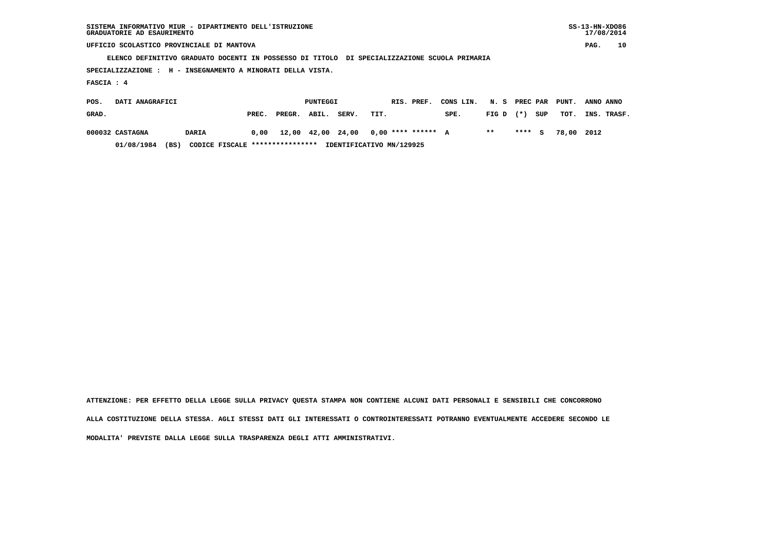| SISTEMA INFORMATIVO MIUR - DIPARTIMENTO DELL'ISTRUZIONE | $SS-13-HN-XDO86$ |
|---------------------------------------------------------|------------------|
| GRADUATORIE AD ESAURIMENTO                              | 17/08/2014       |

 $SS-13-HN-XDO86$  $17/08/2014$ 

 **UFFICIO SCOLASTICO PROVINCIALE DI MANTOVA PAG. 10**

 **ELENCO DEFINITIVO GRADUATO DOCENTI IN POSSESSO DI TITOLO DI SPECIALIZZAZIONE SCUOLA PRIMARIA**

 **SPECIALIZZAZIONE : H - INSEGNAMENTO A MINORATI DELLA VISTA.**

 **FASCIA : 4**

| POS.  | DATI ANAGRAFICI |       |                                 |       |        | PUNTEGGI |       | RIS. PREF.                                  | CONS LIN. | N. S PREC PAR PUNT. |         |     |            | ANNO ANNO   |  |
|-------|-----------------|-------|---------------------------------|-------|--------|----------|-------|---------------------------------------------|-----------|---------------------|---------|-----|------------|-------------|--|
| GRAD. |                 |       |                                 | PREC. | PREGR. | ABIL.    | SERV. | TIT.                                        | SPE.      | $FIG D (*)$         |         | SUP | тот.       | INS. TRASF. |  |
|       | 000032 CASTAGNA | DARIA |                                 |       |        |          |       | $0,00$ 12,00 42,00 24,00 0,00 **** ****** A |           | $* *$               | $***$ S |     | 78,00 2012 |             |  |
|       | 01/08/1984      | (BS)  | CODICE FISCALE **************** |       |        |          |       | IDENTIFICATIVO MN/129925                    |           |                     |         |     |            |             |  |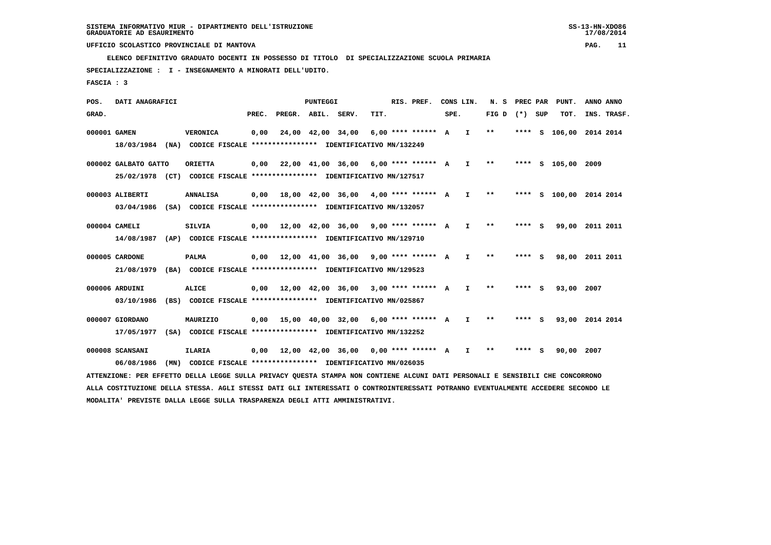**ELENCO DEFINITIVO GRADUATO DOCENTI IN POSSESSO DI TITOLO DI SPECIALIZZAZIONE SCUOLA PRIMARIA**

 **SPECIALIZZAZIONE : I - INSEGNAMENTO A MINORATI DELL'UDITO.**

 **FASCIA : 3**

 **POS. DATI ANAGRAFICI PUNTEGGI RIS. PREF. CONS LIN. N. S PREC PAR PUNT. ANNO ANNO**GRAD. **PREGRADE SERVEGE SERVE SERVE SPEREGE SPEREGALES SPEREGALES SPEREGALES SPEREGALES SPEREGALES SUP TOT. INS. TRASF. 000001 GAMEN VERONICA 0,00 24,00 42,00 34,00 6,00 \*\*\*\* \*\*\*\*\*\* A I \*\* \*\*\*\* S 106,00 2014 2014 18/03/1984 (NA) CODICE FISCALE \*\*\*\*\*\*\*\*\*\*\*\*\*\*\*\* IDENTIFICATIVO MN/132249 000002 GALBATO GATTO ORIETTA 0,00 22,00 41,00 36,00 6,00 \*\*\*\* \*\*\*\*\*\* A I \*\* \*\*\*\* S 105,00 2009 25/02/1978 (CT) CODICE FISCALE \*\*\*\*\*\*\*\*\*\*\*\*\*\*\*\* IDENTIFICATIVO MN/127517 000003 ALIBERTI ANNALISA 0,00 18,00 42,00 36,00 4,00 \*\*\*\* \*\*\*\*\*\* A I \*\* \*\*\*\* S 100,00 2014 2014 03/04/1986 (SA) CODICE FISCALE \*\*\*\*\*\*\*\*\*\*\*\*\*\*\*\* IDENTIFICATIVO MN/132057 000004 CAMELI SILVIA 0,00 12,00 42,00 36,00 9,00 \*\*\*\* \*\*\*\*\*\* A I \*\* \*\*\*\* S 99,00 2011 2011 14/08/1987 (AP) CODICE FISCALE \*\*\*\*\*\*\*\*\*\*\*\*\*\*\*\* IDENTIFICATIVO MN/129710 000005 CARDONE PALMA 0,00 12,00 41,00 36,00 9,00 \*\*\*\* \*\*\*\*\*\* A I \*\* \*\*\*\* S 98,00 2011 2011 21/08/1979 (BA) CODICE FISCALE \*\*\*\*\*\*\*\*\*\*\*\*\*\*\*\* IDENTIFICATIVO MN/129523 000006 ARDUINI ALICE 0,00 12,00 42,00 36,00 3,00 \*\*\*\* \*\*\*\*\*\* A I \*\* \*\*\*\* S 93,00 2007 03/10/1986 (BS) CODICE FISCALE \*\*\*\*\*\*\*\*\*\*\*\*\*\*\*\* IDENTIFICATIVO MN/025867 000007 GIORDANO MAURIZIO 0,00 15,00 40,00 32,00 6,00 \*\*\*\* \*\*\*\*\*\* A I \*\* \*\*\*\* S 93,00 2014 2014 17/05/1977 (SA) CODICE FISCALE \*\*\*\*\*\*\*\*\*\*\*\*\*\*\*\* IDENTIFICATIVO MN/132252 000008 SCANSANI ILARIA 0,00 12,00 42,00 36,00 0,00 \*\*\*\* \*\*\*\*\*\* A I \*\* \*\*\*\* S 90,00 2007 06/08/1986 (MN) CODICE FISCALE \*\*\*\*\*\*\*\*\*\*\*\*\*\*\*\* IDENTIFICATIVO MN/026035**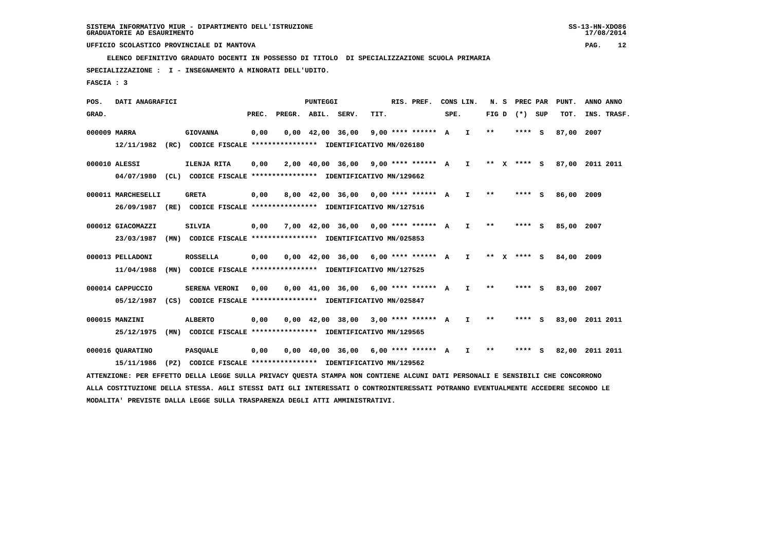**ELENCO DEFINITIVO GRADUATO DOCENTI IN POSSESSO DI TITOLO DI SPECIALIZZAZIONE SCUOLA PRIMARIA**

 **SPECIALIZZAZIONE : I - INSEGNAMENTO A MINORATI DELL'UDITO.**

 **FASCIA : 3**

 **POS. DATI ANAGRAFICI PUNTEGGI RIS. PREF. CONS LIN. N. S PREC PAR PUNT. ANNO ANNO**GRAD. **PREGRADE SERVEGE SERVE SERVE SPEREGE SPEREGALES SPEREGALES SPEREGALES SPEREGALES SPEREGALES SUP TOT. INS. TRASF. 000009 MARRA GIOVANNA 0,00 0,00 42,00 36,00 9,00 \*\*\*\* \*\*\*\*\*\* A I \*\* \*\*\*\* S 87,00 2007 12/11/1982 (RC) CODICE FISCALE \*\*\*\*\*\*\*\*\*\*\*\*\*\*\*\* IDENTIFICATIVO MN/026180 000010 ALESSI ILENJA RITA 0,00 2,00 40,00 36,00 9,00 \*\*\*\* \*\*\*\*\*\* A I \*\* X \*\*\*\* S 87,00 2011 2011 04/07/1980 (CL) CODICE FISCALE \*\*\*\*\*\*\*\*\*\*\*\*\*\*\*\* IDENTIFICATIVO MN/129662 000011 MARCHESELLI GRETA 0,00 8,00 42,00 36,00 0,00 \*\*\*\* \*\*\*\*\*\* A I \*\* \*\*\*\* S 86,00 2009 26/09/1987 (RE) CODICE FISCALE \*\*\*\*\*\*\*\*\*\*\*\*\*\*\*\* IDENTIFICATIVO MN/127516 000012 GIACOMAZZI SILVIA 0,00 7,00 42,00 36,00 0,00 \*\*\*\* \*\*\*\*\*\* A I \*\* \*\*\*\* S 85,00 2007 23/03/1987 (MN) CODICE FISCALE \*\*\*\*\*\*\*\*\*\*\*\*\*\*\*\* IDENTIFICATIVO MN/025853 000013 PELLADONI ROSSELLA 0,00 0,00 42,00 36,00 6,00 \*\*\*\* \*\*\*\*\*\* A I \*\* X \*\*\*\* S 84,00 2009 11/04/1988 (MN) CODICE FISCALE \*\*\*\*\*\*\*\*\*\*\*\*\*\*\*\* IDENTIFICATIVO MN/127525 000014 CAPPUCCIO SERENA VERONI 0,00 0,00 41,00 36,00 6,00 \*\*\*\* \*\*\*\*\*\* A I \*\* \*\*\*\* S 83,00 2007 05/12/1987 (CS) CODICE FISCALE \*\*\*\*\*\*\*\*\*\*\*\*\*\*\*\* IDENTIFICATIVO MN/025847 000015 MANZINI ALBERTO 0,00 0,00 42,00 38,00 3,00 \*\*\*\* \*\*\*\*\*\* A I \*\* \*\*\*\* S 83,00 2011 2011 25/12/1975 (MN) CODICE FISCALE \*\*\*\*\*\*\*\*\*\*\*\*\*\*\*\* IDENTIFICATIVO MN/129565 000016 QUARATINO PASQUALE 0,00 0,00 40,00 36,00 6,00 \*\*\*\* \*\*\*\*\*\* A I \*\* \*\*\*\* S 82,00 2011 2011 15/11/1986 (PZ) CODICE FISCALE \*\*\*\*\*\*\*\*\*\*\*\*\*\*\*\* IDENTIFICATIVO MN/129562**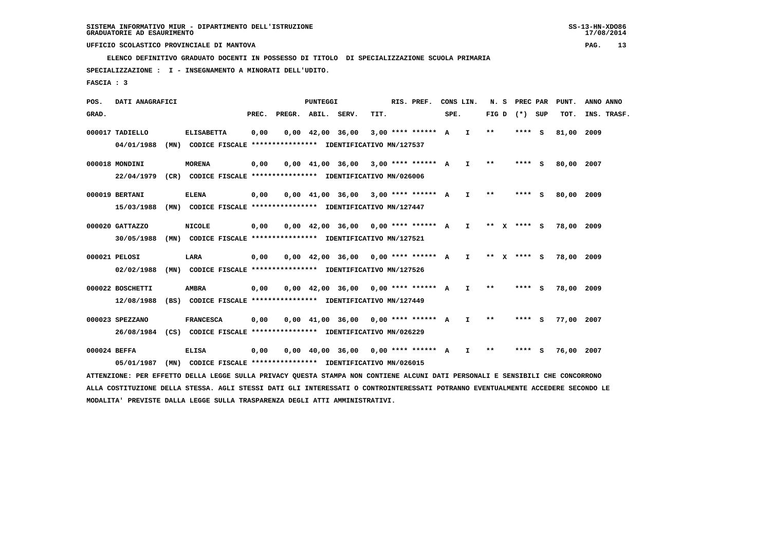**ELENCO DEFINITIVO GRADUATO DOCENTI IN POSSESSO DI TITOLO DI SPECIALIZZAZIONE SCUOLA PRIMARIA**

 **SPECIALIZZAZIONE : I - INSEGNAMENTO A MINORATI DELL'UDITO.**

 **FASCIA : 3**

 **POS. DATI ANAGRAFICI PUNTEGGI RIS. PREF. CONS LIN. N. S PREC PAR PUNT. ANNO ANNO**GRAD. **PREGRADE SERVEGE SERVE SERVE SPEREGE SPEREGALES SPEREGALES SPEREGALES SPEREGALES SPEREGALES SUP TOT. INS. TRASF. 000017 TADIELLO ELISABETTA 0,00 0,00 42,00 36,00 3,00 \*\*\*\* \*\*\*\*\*\* A I \*\* \*\*\*\* S 81,00 2009 04/01/1988 (MN) CODICE FISCALE \*\*\*\*\*\*\*\*\*\*\*\*\*\*\*\* IDENTIFICATIVO MN/127537 000018 MONDINI MORENA 0,00 0,00 41,00 36,00 3,00 \*\*\*\* \*\*\*\*\*\* A I \*\* \*\*\*\* S 80,00 2007 22/04/1979 (CR) CODICE FISCALE \*\*\*\*\*\*\*\*\*\*\*\*\*\*\*\* IDENTIFICATIVO MN/026006 000019 BERTANI ELENA 0,00 0,00 41,00 36,00 3,00 \*\*\*\* \*\*\*\*\*\* A I \*\* \*\*\*\* S 80,00 2009 15/03/1988 (MN) CODICE FISCALE \*\*\*\*\*\*\*\*\*\*\*\*\*\*\*\* IDENTIFICATIVO MN/127447 000020 GATTAZZO NICOLE 0,00 0,00 42,00 36,00 0,00 \*\*\*\* \*\*\*\*\*\* A I \*\* X \*\*\*\* S 78,00 2009 30/05/1988 (MN) CODICE FISCALE \*\*\*\*\*\*\*\*\*\*\*\*\*\*\*\* IDENTIFICATIVO MN/127521 000021 PELOSI LARA 0,00 0,00 42,00 36,00 0,00 \*\*\*\* \*\*\*\*\*\* A I \*\* X \*\*\*\* S 78,00 2009 02/02/1988 (MN) CODICE FISCALE \*\*\*\*\*\*\*\*\*\*\*\*\*\*\*\* IDENTIFICATIVO MN/127526 000022 BOSCHETTI AMBRA 0,00 0,00 42,00 36,00 0,00 \*\*\*\* \*\*\*\*\*\* A I \*\* \*\*\*\* S 78,00 2009 12/08/1988 (BS) CODICE FISCALE \*\*\*\*\*\*\*\*\*\*\*\*\*\*\*\* IDENTIFICATIVO MN/127449 000023 SPEZZANO FRANCESCA 0,00 0,00 41,00 36,00 0,00 \*\*\*\* \*\*\*\*\*\* A I \*\* \*\*\*\* S 77,00 2007 26/08/1984 (CS) CODICE FISCALE \*\*\*\*\*\*\*\*\*\*\*\*\*\*\*\* IDENTIFICATIVO MN/026229 000024 BEFFA ELISA 0,00 0,00 40,00 36,00 0,00 \*\*\*\* \*\*\*\*\*\* A I \*\* \*\*\*\* S 76,00 2007 05/01/1987 (MN) CODICE FISCALE \*\*\*\*\*\*\*\*\*\*\*\*\*\*\*\* IDENTIFICATIVO MN/026015**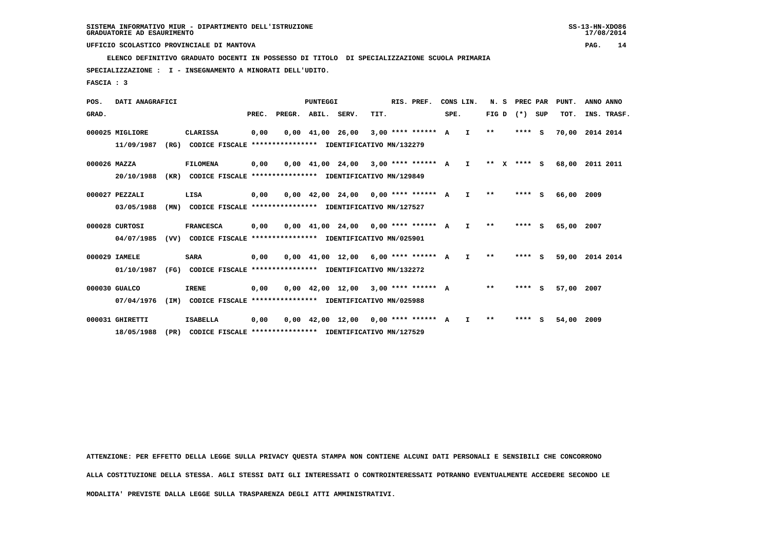**ELENCO DEFINITIVO GRADUATO DOCENTI IN POSSESSO DI TITOLO DI SPECIALIZZAZIONE SCUOLA PRIMARIA**

 **18/05/1988 (PR) CODICE FISCALE \*\*\*\*\*\*\*\*\*\*\*\*\*\*\*\* IDENTIFICATIVO MN/127529**

 **SPECIALIZZAZIONE : I - INSEGNAMENTO A MINORATI DELL'UDITO.**

 **FASCIA : 3**

| POS.         | DATI ANAGRAFICI |      |                                                          |       |                    | <b>PUNTEGGI</b>                |                                                                |      | RIS. PREF.           |      | CONS LIN.    | N.S          | PREC PAR      |          | PUNT.      | ANNO ANNO   |
|--------------|-----------------|------|----------------------------------------------------------|-------|--------------------|--------------------------------|----------------------------------------------------------------|------|----------------------|------|--------------|--------------|---------------|----------|------------|-------------|
| GRAD.        |                 |      |                                                          | PREC. | PREGR. ABIL. SERV. |                                |                                                                | TIT. |                      | SPE. |              |              | FIG D $(*)$   | SUP      | TOT.       | INS. TRASF. |
|              | 000025 MIGLIORE |      | <b>CLARISSA</b>                                          | 0,00  |                    | $0.00 \quad 41.00 \quad 26.00$ |                                                                |      | $3.00$ **** ****** A |      | $\mathbf{I}$ | $\star\star$ | $***$ S       |          | 70,00      | 2014 2014   |
|              | 11/09/1987      | (RG) | CODICE FISCALE **************** IDENTIFICATIVO MN/132279 |       |                    |                                |                                                                |      |                      |      |              |              |               |          |            |             |
| 000026 MAZZA |                 |      | <b>FILOMENA</b>                                          | 0,00  |                    |                                | $0,00$ 41,00 24,00 3,00 **** ****** A I                        |      |                      |      |              |              | ** $X$ **** S |          | 68,00      | 2011 2011   |
|              | 20/10/1988      | (KR) | CODICE FISCALE **************** IDENTIFICATIVO MN/129849 |       |                    |                                |                                                                |      |                      |      |              |              |               |          |            |             |
|              | 000027 PEZZALI  |      | LISA                                                     | 0,00  |                    |                                | $0.00 \quad 42.00 \quad 24.00 \quad 0.00 \quad *** \quad ***}$ |      |                      |      | $\mathbf{I}$ | **           | ****          | <b>S</b> | 66,00      | 2009        |
|              | 03/05/1988      | (MN) | CODICE FISCALE **************** IDENTIFICATIVO MN/127527 |       |                    |                                |                                                                |      |                      |      |              |              |               |          |            |             |
|              | 000028 CURTOSI  |      | <b>FRANCESCA</b>                                         | 0,00  |                    |                                | $0.00 \quad 41.00 \quad 24.00 \quad 0.00 \quad *** \quad ***}$ |      |                      |      | I.           | $* *$        | **** S        |          | 65,00      | 2007        |
|              | 04/07/1985      | (VV) | CODICE FISCALE **************** IDENTIFICATIVO MN/025901 |       |                    |                                |                                                                |      |                      |      |              |              |               |          |            |             |
|              | 000029 IAMELE   |      | <b>SARA</b>                                              | 0.00  |                    |                                | $0.00 \quad 41.00 \quad 12.00$                                 |      | 6,00 **** ****** A   |      | $\mathbf{I}$ | $\star\star$ | ****          | <b>S</b> | 59,00      | 2014 2014   |
|              | 01/10/1987      | (FG) | CODICE FISCALE **************** IDENTIFICATIVO MN/132272 |       |                    |                                |                                                                |      |                      |      |              |              |               |          |            |             |
|              | 000030 GUALCO   |      | <b>IRENE</b>                                             | 0,00  |                    |                                | 0,00 42,00 12,00                                               |      | $3,00$ **** ****** A |      |              | $\star\star$ | ****          | s        | 57,00      | 2007        |
|              | 07/04/1976      | (IM) | CODICE FISCALE **************** IDENTIFICATIVO MN/025988 |       |                    |                                |                                                                |      |                      |      |              |              |               |          |            |             |
|              | 000031 GHIRETTI |      | <b>ISABELLA</b>                                          | 0,00  |                    |                                | $0,00$ 42,00 12,00 0,00 **** ****** A                          |      |                      |      | I.           | $* *$        | ****          | - S      | 54,00 2009 |             |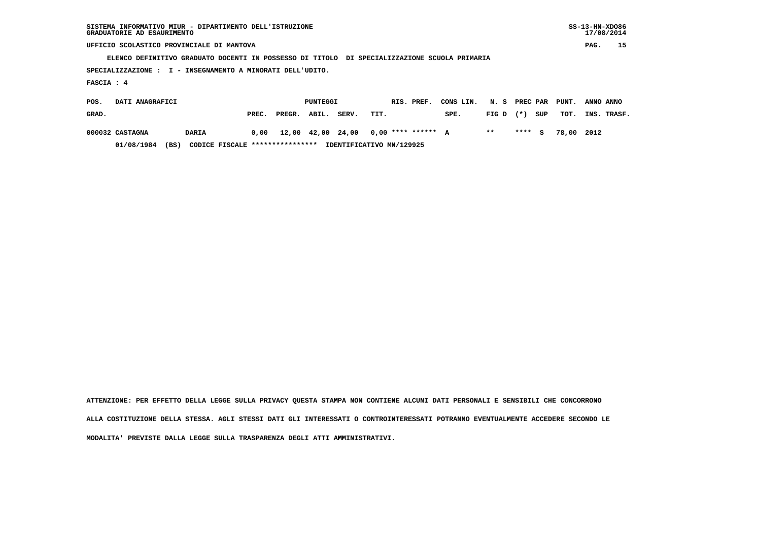| SISTEMA INFORMATIVO MIUR - DIPARTIMENTO DELL'ISTRUZIONE | $SS-13-HN-XDO86$ |
|---------------------------------------------------------|------------------|
| GRADUATORIE AD ESAURIMENTO                              | 17/08/2014       |

 $SS-13-HN-XDO86$  $17/08/2014$ 

 **UFFICIO SCOLASTICO PROVINCIALE DI MANTOVA PAG. 15**

 **ELENCO DEFINITIVO GRADUATO DOCENTI IN POSSESSO DI TITOLO DI SPECIALIZZAZIONE SCUOLA PRIMARIA**

 **SPECIALIZZAZIONE : I - INSEGNAMENTO A MINORATI DELL'UDITO.**

 **FASCIA : 4**

| POS.  | DATI ANAGRAFICI |                                         |       |              | PUNTEGGI |       | RIS. PREF.                                  | CONS LIN. N. S PREC PAR PUNT. |              |  |                   | ANNO ANNO        |
|-------|-----------------|-----------------------------------------|-------|--------------|----------|-------|---------------------------------------------|-------------------------------|--------------|--|-------------------|------------------|
| GRAD. |                 |                                         | PREC. | PREGR. ABIL. |          | SERV. | TIT.                                        | SPE.                          | FIGD (*) SUP |  |                   | TOT. INS. TRASF. |
|       | 000032 CASTAGNA | DARIA                                   |       |              |          |       | $0,00$ 12,00 42,00 24,00 0,00 **** ****** A |                               | $* *$        |  | **** S 78,00 2012 |                  |
|       | 01/08/1984      | CODICE FISCALE ****************<br>(BS) |       |              |          |       | IDENTIFICATIVO MN/129925                    |                               |              |  |                   |                  |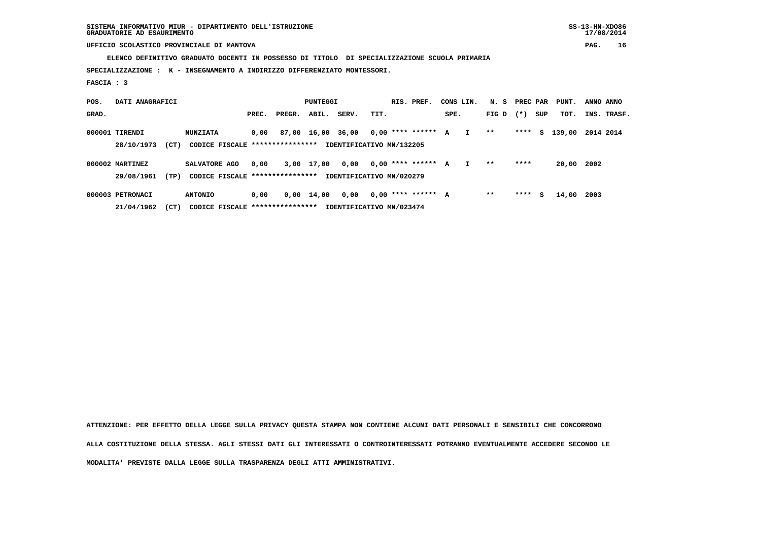**ELENCO DEFINITIVO GRADUATO DOCENTI IN POSSESSO DI TITOLO DI SPECIALIZZAZIONE SCUOLA PRIMARIA**

 **SPECIALIZZAZIONE : K - INSEGNAMENTO A INDIRIZZO DIFFERENZIATO MONTESSORI.**

 **FASCIA : 3**

| POS.  | DATI ANAGRAFICI |      |                                 | PUNTEGGI |        |       |                          |      | RIS. PREF.           | CONS LIN. |              | N. S PREC PAR |        |     | PUNT.  | ANNO ANNO |             |
|-------|-----------------|------|---------------------------------|----------|--------|-------|--------------------------|------|----------------------|-----------|--------------|---------------|--------|-----|--------|-----------|-------------|
| GRAD. |                 |      |                                 | PREC.    | PREGR. | ABIL. | SERV.                    | TIT. |                      | SPE.      |              | FIG D         | $(* )$ | SUP | тот.   |           | INS. TRASF. |
|       | 000001 TIRENDI  |      | <b>NUNZIATA</b>                 | 0.00     | 87,00  | 16,00 | 36,00                    |      | $0.00$ **** ****** A |           | $\mathbf{I}$ | $***$         | ****   | S.  | 139,00 | 2014 2014 |             |
|       | 28/10/1973      | (CT) | CODICE FISCALE **************** |          |        |       | IDENTIFICATIVO MN/132205 |      |                      |           |              |               |        |     |        |           |             |
|       | 000002 MARTINEZ |      | SALVATORE AGO                   | 0,00     | 3,00   | 17,00 | 0,00                     |      | $0,00$ **** ****** A |           |              | $***$         | ****   |     | 20,00  | 2002      |             |
|       | 29/08/1961      | (TP) | CODICE FISCALE **************** |          |        |       | IDENTIFICATIVO MN/020279 |      |                      |           |              |               |        |     |        |           |             |
|       |                 |      |                                 |          |        |       |                          |      |                      |           |              |               |        |     |        |           |             |

 **000003 PETRONACI ANTONIO 0,00 0,00 14,00 0,00 0,00 \*\*\*\* \*\*\*\*\*\* A \*\* \*\*\*\* S 14,00 2003 21/04/1962 (CT) CODICE FISCALE \*\*\*\*\*\*\*\*\*\*\*\*\*\*\*\* IDENTIFICATIVO MN/023474**